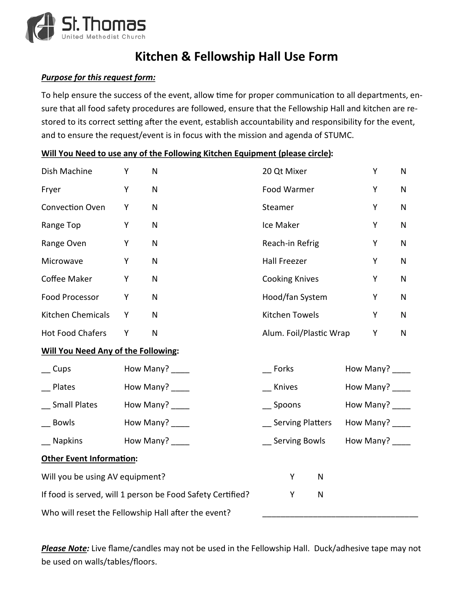

## **Kitchen & Fellowship Hall Use Form**

## *Purpose for this request form:*

To help ensure the success of the event, allow time for proper communication to all departments, ensure that all food safety procedures are followed, ensure that the Fellowship Hall and kitchen are restored to its correct setting after the event, establish accountability and responsibility for the event, and to ensure the request/event is in focus with the mission and agenda of STUMC.

| Will You Need to use any of the Following Kitchen Equipment (please circle): |
|------------------------------------------------------------------------------|
|------------------------------------------------------------------------------|

| Dish Machine                                               | Y | N                                                   | 20 Qt Mixer             |                 |           | Y            | N            |
|------------------------------------------------------------|---|-----------------------------------------------------|-------------------------|-----------------|-----------|--------------|--------------|
| Fryer                                                      | Υ | ${\sf N}$                                           | Food Warmer             |                 |           | Υ            | $\mathsf{N}$ |
| Convection Oven                                            | Y | ${\sf N}$                                           | Steamer                 |                 |           | Υ            | $\mathsf{N}$ |
| Range Top                                                  | Υ | $\mathsf{N}$                                        | Ice Maker               |                 |           | Υ            | $\mathsf{N}$ |
| Range Oven                                                 | Υ | $\mathsf{N}$                                        | Reach-in Refrig         |                 |           | Y            | $\mathsf{N}$ |
| Microwave                                                  | Υ | ${\sf N}$                                           | <b>Hall Freezer</b>     |                 |           | Υ            | $\mathsf{N}$ |
| Coffee Maker                                               | Υ | ${\sf N}$                                           | <b>Cooking Knives</b>   |                 | Y         | ${\sf N}$    |              |
| Food Processor                                             | Υ | ${\sf N}$                                           | Hood/fan System         |                 | Υ         | $\mathsf{N}$ |              |
| Kitchen Chemicals                                          | Υ | ${\sf N}$                                           | Kitchen Towels          |                 | Υ         | $\mathsf{N}$ |              |
| Hot Food Chafers                                           | Υ | $\mathsf{N}$                                        | Alum. Foil/Plastic Wrap |                 | Υ         | $\mathsf{N}$ |              |
| <b>Will You Need Any of the Following:</b>                 |   |                                                     |                         |                 |           |              |              |
| $\equiv$ Cups                                              |   | How Many? ____                                      | Forks                   |                 | How Many? |              |              |
| Plates                                                     |   | How Many? ____                                      | Knives                  | How Many? ____  |           |              |              |
| Small Plates                                               |   | How Many? _____                                     | Spoons                  | How Many? ____  |           |              |              |
| Bowls                                                      |   | How Many? ____                                      | _ Serving Platters      | How Many? _____ |           |              |              |
| Napkins                                                    |   | How Many? _____                                     | <b>Serving Bowls</b>    | How Many?       |           |              |              |
| <b>Other Event Information:</b>                            |   |                                                     |                         |                 |           |              |              |
| Will you be using AV equipment?                            |   |                                                     | Y                       | ${\sf N}$       |           |              |              |
| If food is served, will 1 person be Food Safety Certified? | Υ | $\mathsf{N}$                                        |                         |                 |           |              |              |
|                                                            |   | Who will reset the Fellowship Hall after the event? |                         |                 |           |              |              |

*Please Note:* Live flame/candles may not be used in the Fellowship Hall. Duck/adhesive tape may not be used on walls/tables/floors.